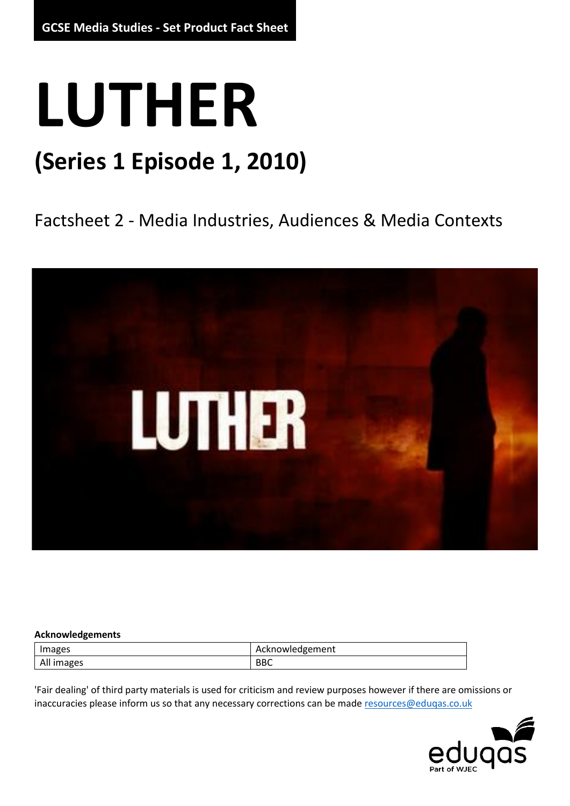## **LUTHER**

## **(Series 1 Episode 1, 2010)**

### Factsheet 2 - Media Industries, Audiences & Media Contexts



#### **Acknowledgements**

| Images     | tknowledgement<br>AL.     |
|------------|---------------------------|
| All images | <b>DDC</b><br><b>DD</b> C |

'Fair dealing' of third party materials is used for criticism and review purposes however if there are omissions or inaccuracies please inform us so that any necessary corrections can be mad[e resources@eduqas.co.uk](mailto:resources@eduqas.co.uk)

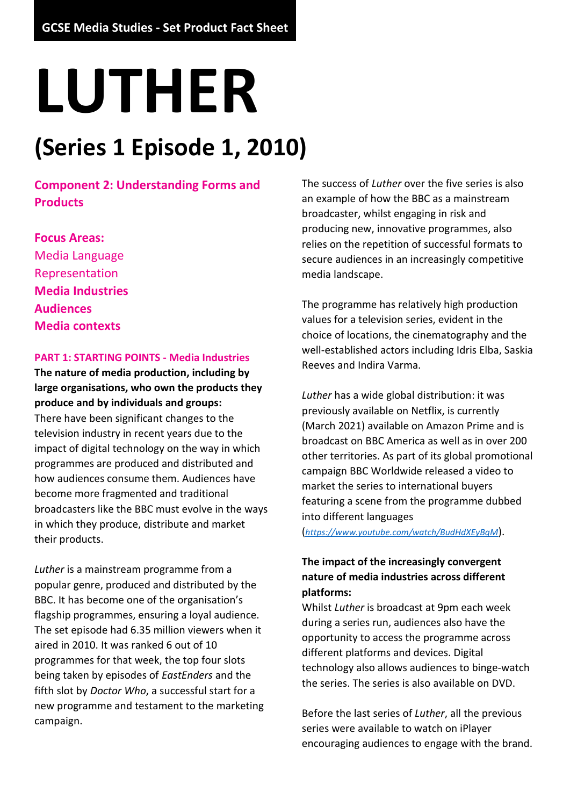# **LUTHER**

## **(Series 1 Episode 1, 2010)**

**Component 2: Understanding Forms and Products**

**Focus Areas:** Media Language Representation **Media Industries Audiences Media contexts**

#### **PART 1: STARTING POINTS - Media Industries**

**The nature of media production, including by large organisations, who own the products they produce and by individuals and groups:** There have been significant changes to the television industry in recent years due to the impact of digital technology on the way in which programmes are produced and distributed and how audiences consume them. Audiences have become more fragmented and traditional broadcasters like the BBC must evolve in the ways in which they produce, distribute and market their products.

*Luther* is a mainstream programme from a popular genre, produced and distributed by the BBC. It has become one of the organisation's flagship programmes, ensuring a loyal audience. The set episode had 6.35 million viewers when it aired in 2010. It was ranked 6 out of 10 programmes for that week, the top four slots being taken by episodes of *EastEnders* and the fifth slot by *Doctor Who*, a successful start for a new programme and testament to the marketing campaign.

The success of *Luther* over the five series is also an example of how the BBC as a mainstream broadcaster, whilst engaging in risk and producing new, innovative programmes, also relies on the repetition of successful formats to secure audiences in an increasingly competitive media landscape.

The programme has relatively high production values for a television series, evident in the choice of locations, the cinematography and the well-established actors including Idris Elba, Saskia Reeves and Indira Varma.

*Luther* has a wide global distribution: it was previously available on Netflix, is currently (March 2021) available on Amazon Prime and is broadcast on BBC America as well as in over 200 other territories. As part of its global promotional campaign BBC Worldwide released a video to market the series to international buyers featuring a scene from the programme dubbed into different languages

(*<https://www.youtube.com/watch/BudHdXEyBqM>*).

#### **The impact of the increasingly convergent nature of media industries across different platforms:**

Whilst *Luther* is broadcast at 9pm each week during a series run, audiences also have the opportunity to access the programme across different platforms and devices. Digital technology also allows audiences to binge-watch the series. The series is also available on DVD.

Before the last series of *Luther*, all the previous series were available to watch on iPlayer encouraging audiences to engage with the brand.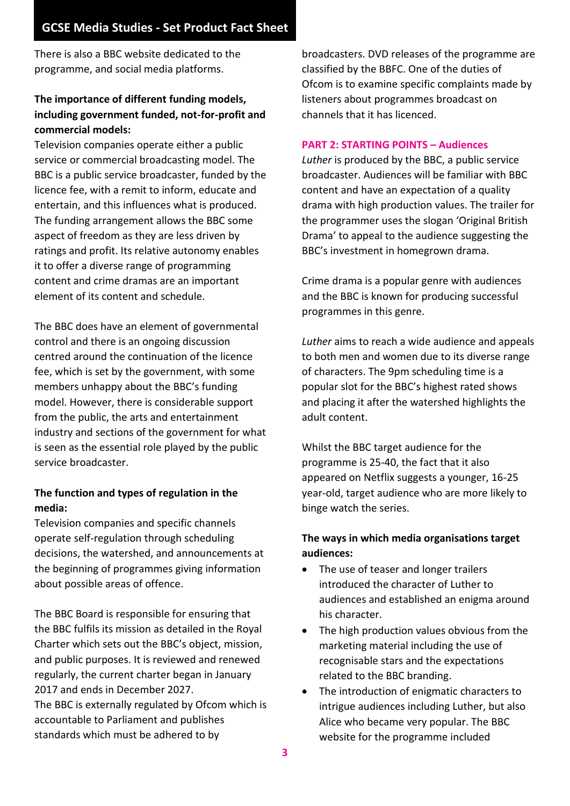There is also a BBC website dedicated to the programme, and social media platforms.

#### **The importance of different funding models, including government funded, not-for-profit and commercial models:**

Television companies operate either a public service or commercial broadcasting model. The BBC is a public service broadcaster, funded by the licence fee, with a remit to inform, educate and entertain, and this influences what is produced. The funding arrangement allows the BBC some aspect of freedom as they are less driven by ratings and profit. Its relative autonomy enables it to offer a diverse range of programming content and crime dramas are an important element of its content and schedule.

The BBC does have an element of governmental control and there is an ongoing discussion centred around the continuation of the licence fee, which is set by the government, with some members unhappy about the BBC's funding model. However, there is considerable support from the public, the arts and entertainment industry and sections of the government for what is seen as the essential role played by the public service broadcaster.

#### **The function and types of regulation in the media:**

Television companies and specific channels operate self-regulation through scheduling decisions, the watershed, and announcements at the beginning of programmes giving information about possible areas of offence.

The BBC Board is responsible for ensuring that the BBC fulfils its mission as detailed in the Royal Charter which sets out the BBC's object, mission, and public purposes. It is reviewed and renewed regularly, the current charter began in January 2017 and ends in December 2027. The BBC is externally regulated by Ofcom which is accountable to Parliament and publishes

standards which must be adhered to by

broadcasters. DVD releases of the programme are classified by the BBFC. One of the duties of Ofcom is to examine specific complaints made by listeners about programmes broadcast on channels that it has licenced.

#### **PART 2: STARTING POINTS – Audiences**

*Luther* is produced by the BBC, a public service broadcaster. Audiences will be familiar with BBC content and have an expectation of a quality drama with high production values. The trailer for the programmer uses the slogan 'Original British Drama' to appeal to the audience suggesting the BBC's investment in homegrown drama.

Crime drama is a popular genre with audiences and the BBC is known for producing successful programmes in this genre.

*Luther* aims to reach a wide audience and appeals to both men and women due to its diverse range of characters. The 9pm scheduling time is a popular slot for the BBC's highest rated shows and placing it after the watershed highlights the adult content.

Whilst the BBC target audience for the programme is 25-40, the fact that it also appeared on Netflix suggests a younger, 16-25 year-old, target audience who are more likely to binge watch the series.

#### **The ways in which media organisations target audiences:**

- The use of teaser and longer trailers introduced the character of Luther to audiences and established an enigma around his character.
- The high production values obvious from the marketing material including the use of recognisable stars and the expectations related to the BBC branding.
- The introduction of enigmatic characters to intrigue audiences including Luther, but also Alice who became very popular. The BBC website for the programme included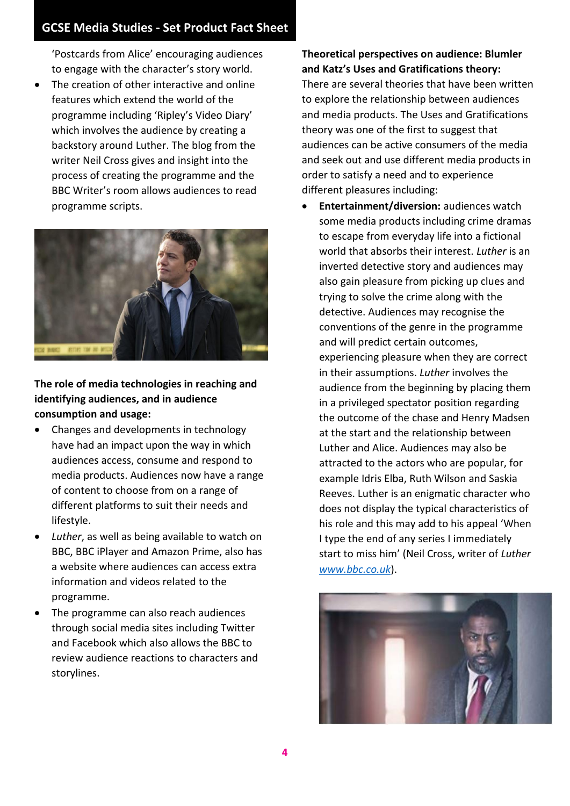'Postcards from Alice' encouraging audiences to engage with the character's story world.

The creation of other interactive and online features which extend the world of the programme including 'Ripley's Video Diary' which involves the audience by creating a backstory around Luther. The blog from the writer Neil Cross gives and insight into the process of creating the programme and the BBC Writer's room allows audiences to read programme scripts.



#### **The role of media technologies in reaching and identifying audiences, and in audience consumption and usage:**

- Changes and developments in technology have had an impact upon the way in which audiences access, consume and respond to media products. Audiences now have a range of content to choose from on a range of different platforms to suit their needs and lifestyle.
- Luther, as well as being available to watch on BBC, BBC iPlayer and Amazon Prime, also has a website where audiences can access extra information and videos related to the programme.
- The programme can also reach audiences through social media sites including Twitter and Facebook which also allows the BBC to review audience reactions to characters and storylines.

#### **Theoretical perspectives on audience: Blumler and Katz's Uses and Gratifications theory:**

There are several theories that have been written to explore the relationship between audiences and media products. The Uses and Gratifications theory was one of the first to suggest that audiences can be active consumers of the media and seek out and use different media products in order to satisfy a need and to experience different pleasures including:

• **Entertainment/diversion:** audiences watch some media products including crime dramas to escape from everyday life into a fictional world that absorbs their interest. *Luther* is an inverted detective story and audiences may also gain pleasure from picking up clues and trying to solve the crime along with the detective. Audiences may recognise the conventions of the genre in the programme and will predict certain outcomes, experiencing pleasure when they are correct in their assumptions. *Luther* involves the audience from the beginning by placing them in a privileged spectator position regarding the outcome of the chase and Henry Madsen at the start and the relationship between Luther and Alice. Audiences may also be attracted to the actors who are popular, for example Idris Elba, Ruth Wilson and Saskia Reeves. Luther is an enigmatic character who does not display the typical characteristics of his role and this may add to his appeal 'When I type the end of any series I immediately start to miss him' (Neil Cross, writer of *Luther [www.bbc.co.uk](http://www.bbc.co.uk/)*).